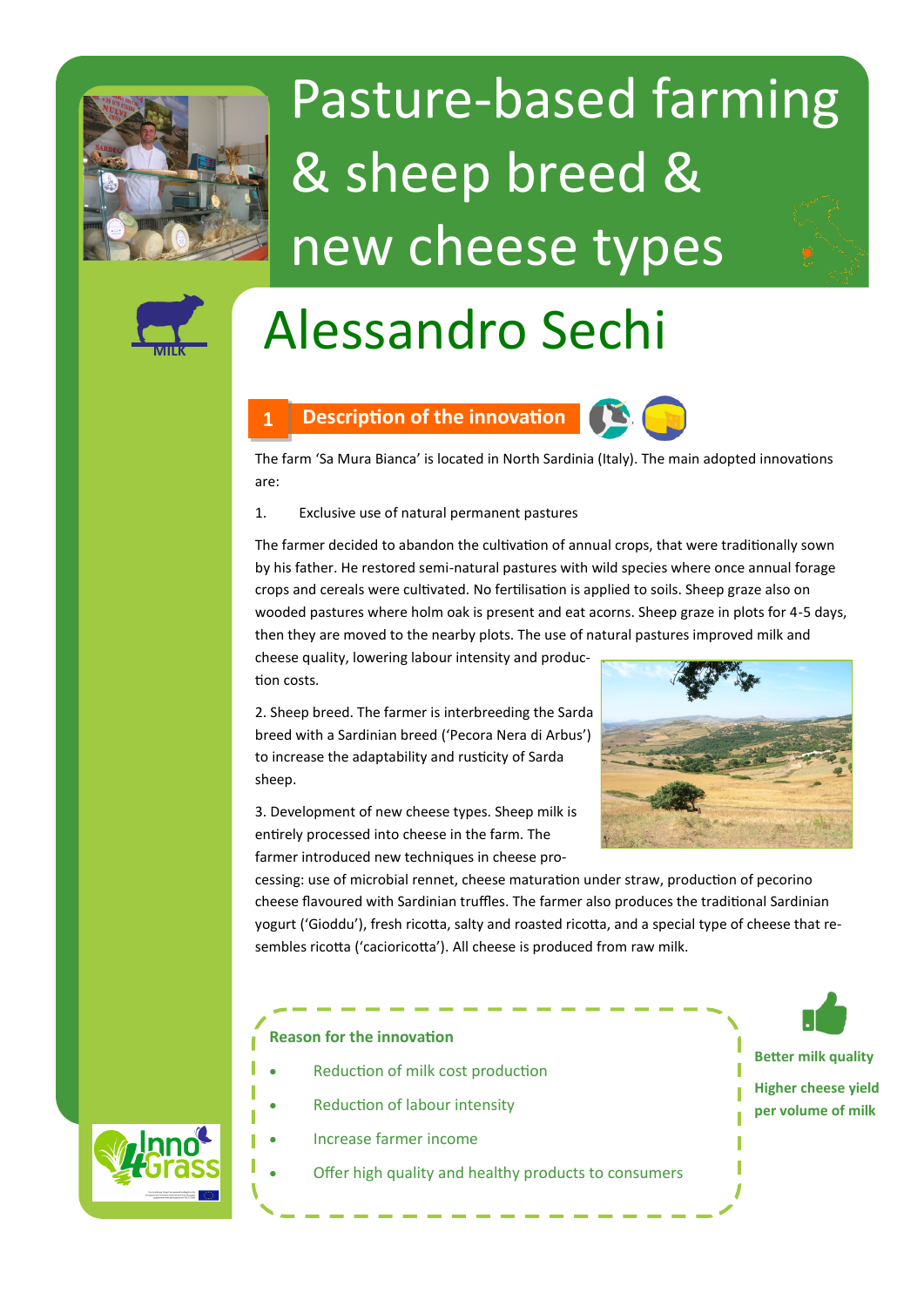

# Pasture-based farming & sheep breed & new cheese types



## Alessandro Sechi



The farm 'Sa Mura Bianca' is located in North Sardinia (Italy). The main adopted innovations are:

1. Exclusive use of natural permanent pastures

The farmer decided to abandon the cultivation of annual crops, that were traditionally sown by his father. He restored semi-natural pastures with wild species where once annual forage crops and cereals were cultivated. No fertilisation is applied to soils. Sheep graze also on wooded pastures where holm oak is present and eat acorns. Sheep graze in plots for 4-5 days, then they are moved to the nearby plots. The use of natural pastures improved milk and

cheese quality, lowering labour intensity and production costs.

2. Sheep breed. The farmer is interbreeding the Sarda breed with a Sardinian breed ('Pecora Nera di Arbus') to increase the adaptability and rusticity of Sarda sheep.

3. Development of new cheese types. Sheep milk is entirely processed into cheese in the farm. The farmer introduced new techniques in cheese pro-



cessing: use of microbial rennet, cheese maturation under straw, production of pecorino cheese flavoured with Sardinian truffles. The farmer also produces the traditional Sardinian yogurt ('Gioddu'), fresh ricotta, salty and roasted ricotta, and a special type of cheese that resembles ricotta ('cacioricotta'). All cheese is produced from raw milk.

#### **Reason for the innovation**

- Reduction of milk cost production
- Reduction of labour intensity
- Increase farmer income
- Offer high quality and healthy products to consumers

**Better milk quality**

**Higher cheese yield per volume of milk**

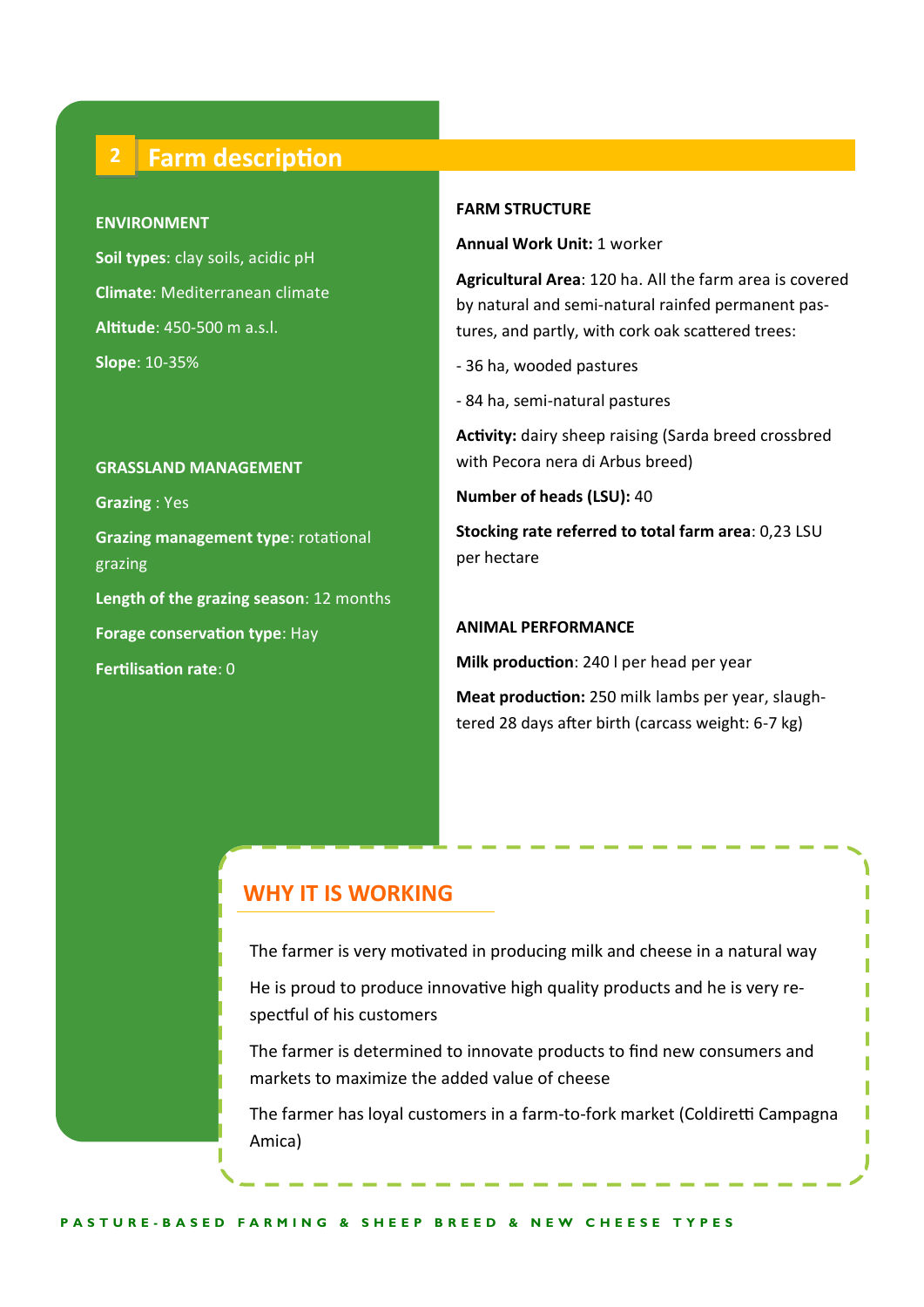### **2 Farm description**

#### **ENVIRONMENT**

**Soil types**: clay soils, acidic pH **Climate**: Mediterranean climate **Altitude**: 450-500 m a.s.l. **Slope**: 10-35%

#### **GRASSLAND MANAGEMENT**

**Grazing** : Yes **Grazing management type**: rotational grazing **Length of the grazing season**: 12 months **Forage conservation type**: Hay **Fertilisation rate**: 0

#### **FARM STRUCTURE**

**Annual Work Unit:** 1 worker

**Agricultural Area**: 120 ha. All the farm area is covered by natural and semi-natural rainfed permanent pastures, and partly, with cork oak scattered trees:

- 36 ha, wooded pastures
- 84 ha, semi-natural pastures

**Activity:** dairy sheep raising (Sarda breed crossbred with Pecora nera di Arbus breed)

**Number of heads (LSU):** 40

**Stocking rate referred to total farm area**: 0,23 LSU per hectare

#### **ANIMAL PERFORMANCE**

**Milk production**: 240 l per head per year

**Meat production:** 250 milk lambs per year, slaughtered 28 days after birth (carcass weight: 6-7 kg)

#### **WHY IT IS WORKING**

The farmer is very motivated in producing milk and cheese in a natural way

He is proud to produce innovative high quality products and he is very respectful of his customers

The farmer is determined to innovate products to find new consumers and markets to maximize the added value of cheese

The farmer has loyal customers in a farm-to-fork market (Coldiretti Campagna Amica)